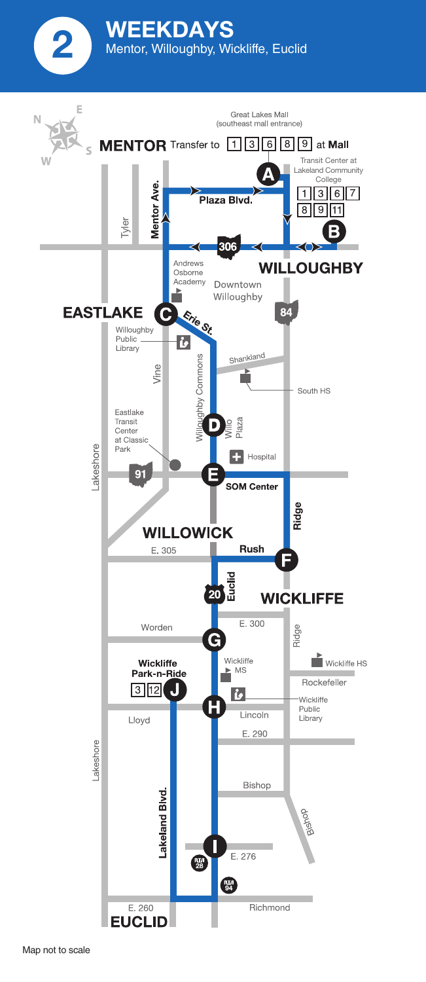